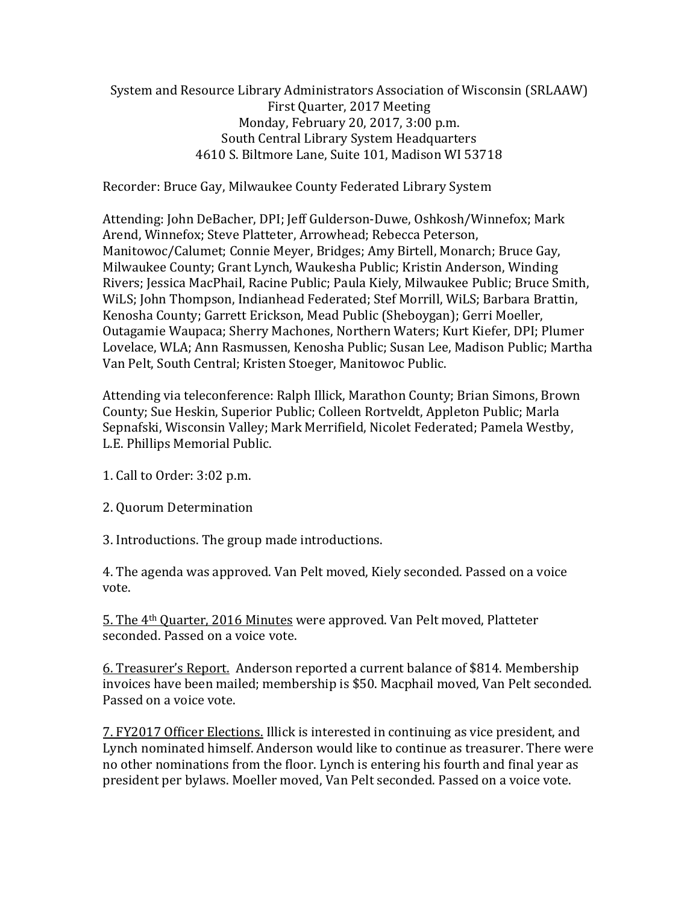System and Resource Library Administrators Association of Wisconsin (SRLAAW) First Quarter, 2017 Meeting Monday, February 20, 2017, 3:00 p.m. South Central Library System Headquarters 4610 S. Biltmore Lane, Suite 101, Madison WI 53718

Recorder: Bruce Gay, Milwaukee County Federated Library System

Attending: John DeBacher, DPI; Jeff Gulderson-Duwe, Oshkosh/Winnefox; Mark Arend, Winnefox; Steve Platteter, Arrowhead; Rebecca Peterson, Manitowoc/Calumet; Connie Meyer, Bridges; Amy Birtell, Monarch; Bruce Gay, Milwaukee County; Grant Lynch, Waukesha Public; Kristin Anderson, Winding Rivers; Jessica MacPhail, Racine Public; Paula Kiely, Milwaukee Public; Bruce Smith, WiLS; John Thompson, Indianhead Federated; Stef Morrill, WiLS; Barbara Brattin, Kenosha County; Garrett Erickson, Mead Public (Sheboygan); Gerri Moeller, Outagamie Waupaca; Sherry Machones, Northern Waters; Kurt Kiefer, DPI; Plumer Lovelace, WLA; Ann Rasmussen, Kenosha Public; Susan Lee, Madison Public; Martha Van Pelt, South Central; Kristen Stoeger, Manitowoc Public.

Attending via teleconference: Ralph Illick, Marathon County; Brian Simons, Brown County; Sue Heskin, Superior Public; Colleen Rortveldt, Appleton Public; Marla Sepnafski, Wisconsin Valley; Mark Merrifield, Nicolet Federated; Pamela Westby, L.E. Phillips Memorial Public.

1. Call to Order: 3:02 p.m.

2. Quorum Determination

3. Introductions. The group made introductions.

4. The agenda was approved. Van Pelt moved, Kiely seconded. Passed on a voice vote.

5. The 4th Quarter, 2016 Minutes were approved. Van Pelt moved, Platteter seconded. Passed on a voice vote.

6. Treasurer's Report. Anderson reported a current balance of \$814. Membership invoices have been mailed; membership is \$50. Macphail moved, Van Pelt seconded. Passed on a voice vote.

7. FY2017 Officer Elections. Illick is interested in continuing as vice president, and Lynch nominated himself. Anderson would like to continue as treasurer. There were no other nominations from the floor. Lynch is entering his fourth and final year as president per bylaws. Moeller moved, Van Pelt seconded. Passed on a voice vote.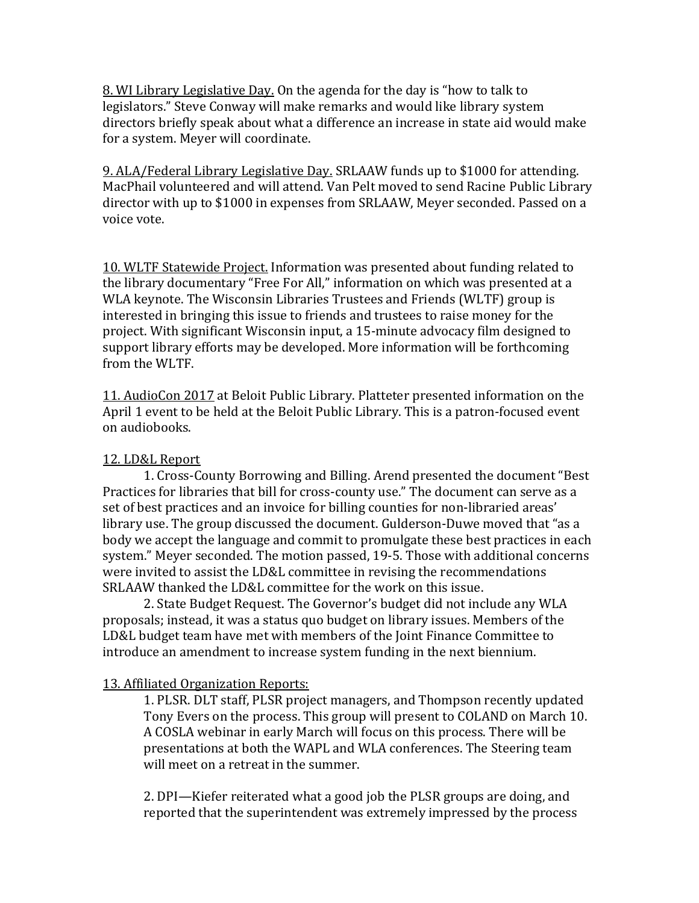8. WI Library Legislative Day. On the agenda for the day is "how to talk to legislators." Steve Conway will make remarks and would like library system directors briefly speak about what a difference an increase in state aid would make for a system. Meyer will coordinate.

9. ALA/Federal Library Legislative Day. SRLAAW funds up to \$1000 for attending. MacPhail volunteered and will attend. Van Pelt moved to send Racine Public Library director with up to \$1000 in expenses from SRLAAW, Meyer seconded. Passed on a voice vote.

10. WLTF Statewide Project. Information was presented about funding related to the library documentary "Free For All," information on which was presented at a WLA keynote. The Wisconsin Libraries Trustees and Friends (WLTF) group is interested in bringing this issue to friends and trustees to raise money for the project. With significant Wisconsin input, a 15-minute advocacy film designed to support library efforts may be developed. More information will be forthcoming from the WLTF.

11. AudioCon 2017 at Beloit Public Library. Platteter presented information on the April 1 event to be held at the Beloit Public Library. This is a patron-focused event on audiobooks.

## 12. LD&L Report

1. Cross-County Borrowing and Billing. Arend presented the document "Best Practices for libraries that bill for cross-county use." The document can serve as a set of best practices and an invoice for billing counties for non-libraried areas' library use. The group discussed the document. Gulderson-Duwe moved that "as a body we accept the language and commit to promulgate these best practices in each system." Meyer seconded. The motion passed, 19-5. Those with additional concerns were invited to assist the LD&L committee in revising the recommendations SRLAAW thanked the LD&L committee for the work on this issue.

2. State Budget Request. The Governor's budget did not include any WLA proposals; instead, it was a status quo budget on library issues. Members of the LD&L budget team have met with members of the Joint Finance Committee to introduce an amendment to increase system funding in the next biennium.

## 13. Affiliated Organization Reports:

1. PLSR. DLT staff, PLSR project managers, and Thompson recently updated Tony Evers on the process. This group will present to COLAND on March 10. A COSLA webinar in early March will focus on this process. There will be presentations at both the WAPL and WLA conferences. The Steering team will meet on a retreat in the summer.

2. DPI—Kiefer reiterated what a good job the PLSR groups are doing, and reported that the superintendent was extremely impressed by the process